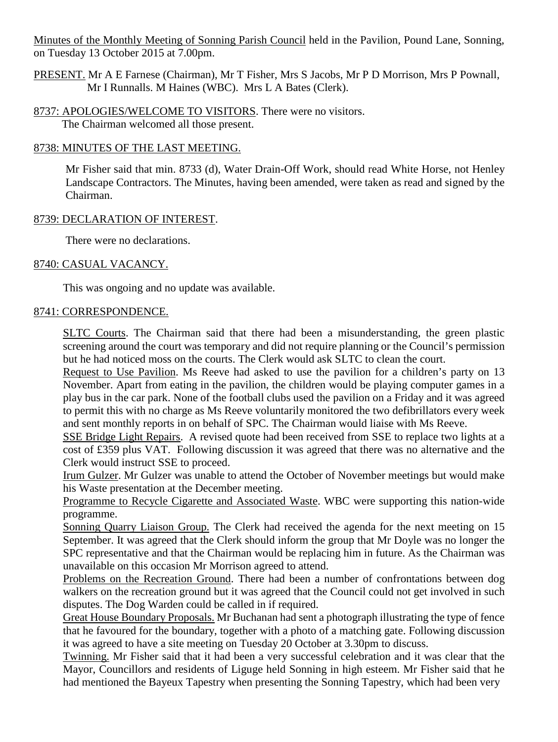Minutes of the Monthly Meeting of Sonning Parish Council held in the Pavilion, Pound Lane, Sonning, on Tuesday 13 October 2015 at 7.00pm.

PRESENT. Mr A E Farnese (Chairman), Mr T Fisher, Mrs S Jacobs, Mr P D Morrison, Mrs P Pownall, Mr I Runnalls. M Haines (WBC). Mrs L A Bates (Clerk).

8737: APOLOGIES/WELCOME TO VISITORS. There were no visitors. The Chairman welcomed all those present.

### 8738: MINUTES OF THE LAST MEETING.

Mr Fisher said that min. 8733 (d), Water Drain-Off Work, should read White Horse, not Henley Landscape Contractors. The Minutes, having been amended, were taken as read and signed by the Chairman.

## 8739: DECLARATION OF INTEREST.

There were no declarations.

## 8740: CASUAL VACANCY.

This was ongoing and no update was available.

### 8741: CORRESPONDENCE.

SLTC Courts. The Chairman said that there had been a misunderstanding, the green plastic screening around the court was temporary and did not require planning or the Council's permission but he had noticed moss on the courts. The Clerk would ask SLTC to clean the court.

Request to Use Pavilion. Ms Reeve had asked to use the pavilion for a children's party on 13 November. Apart from eating in the pavilion, the children would be playing computer games in a play bus in the car park. None of the football clubs used the pavilion on a Friday and it was agreed to permit this with no charge as Ms Reeve voluntarily monitored the two defibrillators every week and sent monthly reports in on behalf of SPC. The Chairman would liaise with Ms Reeve.

SSE Bridge Light Repairs. A revised quote had been received from SSE to replace two lights at a cost of £359 plus VAT. Following discussion it was agreed that there was no alternative and the Clerk would instruct SSE to proceed.

Irum Gulzer. Mr Gulzer was unable to attend the October of November meetings but would make his Waste presentation at the December meeting.

Programme to Recycle Cigarette and Associated Waste. WBC were supporting this nation-wide programme.

Sonning Quarry Liaison Group. The Clerk had received the agenda for the next meeting on 15 September. It was agreed that the Clerk should inform the group that Mr Doyle was no longer the SPC representative and that the Chairman would be replacing him in future. As the Chairman was unavailable on this occasion Mr Morrison agreed to attend.

Problems on the Recreation Ground. There had been a number of confrontations between dog walkers on the recreation ground but it was agreed that the Council could not get involved in such disputes. The Dog Warden could be called in if required.

Great House Boundary Proposals. Mr Buchanan had sent a photograph illustrating the type of fence that he favoured for the boundary, together with a photo of a matching gate. Following discussion it was agreed to have a site meeting on Tuesday 20 October at 3.30pm to discuss.

Twinning. Mr Fisher said that it had been a very successful celebration and it was clear that the Mayor, Councillors and residents of Liguge held Sonning in high esteem. Mr Fisher said that he had mentioned the Bayeux Tapestry when presenting the Sonning Tapestry, which had been very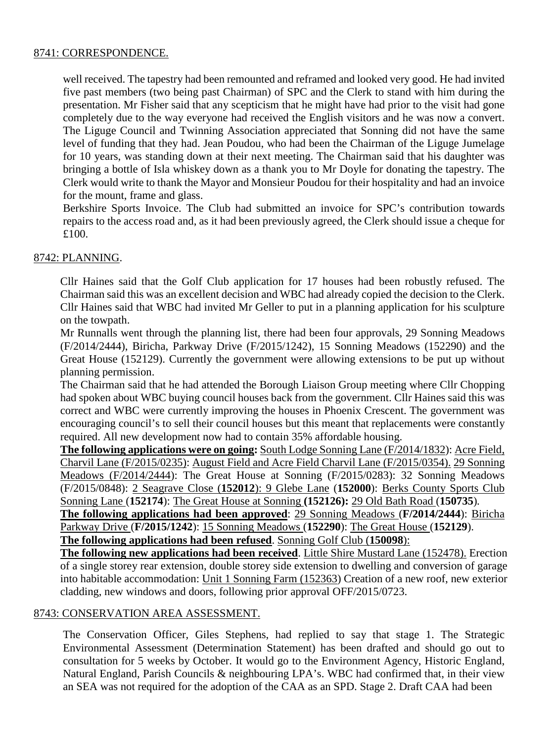### 8741: CORRESPONDENCE.

well received. The tapestry had been remounted and reframed and looked very good. He had invited five past members (two being past Chairman) of SPC and the Clerk to stand with him during the presentation. Mr Fisher said that any scepticism that he might have had prior to the visit had gone completely due to the way everyone had received the English visitors and he was now a convert. The Liguge Council and Twinning Association appreciated that Sonning did not have the same level of funding that they had. Jean Poudou, who had been the Chairman of the Liguge Jumelage for 10 years, was standing down at their next meeting. The Chairman said that his daughter was bringing a bottle of Isla whiskey down as a thank you to Mr Doyle for donating the tapestry. The Clerk would write to thank the Mayor and Monsieur Poudou for their hospitality and had an invoice for the mount, frame and glass.

Berkshire Sports Invoice. The Club had submitted an invoice for SPC's contribution towards repairs to the access road and, as it had been previously agreed, the Clerk should issue a cheque for £100.

# 8742: PLANNING.

Cllr Haines said that the Golf Club application for 17 houses had been robustly refused. The Chairman said this was an excellent decision and WBC had already copied the decision to the Clerk. Cllr Haines said that WBC had invited Mr Geller to put in a planning application for his sculpture on the towpath.

Mr Runnalls went through the planning list, there had been four approvals, 29 Sonning Meadows (F/2014/2444), Biricha, Parkway Drive (F/2015/1242), 15 Sonning Meadows (152290) and the Great House (152129). Currently the government were allowing extensions to be put up without planning permission.

The Chairman said that he had attended the Borough Liaison Group meeting where Cllr Chopping had spoken about WBC buying council houses back from the government. Cllr Haines said this was correct and WBC were currently improving the houses in Phoenix Crescent. The government was encouraging council's to sell their council houses but this meant that replacements were constantly required. All new development now had to contain 35% affordable housing.

**The following applications were on going:** South Lodge Sonning Lane (F/2014/1832): Acre Field, Charvil Lane (F/2015/0235): August Field and Acre Field Charvil Lane (F/2015/0354). 29 Sonning Meadows (F/2014/2444): The Great House at Sonning (F/2015/0283): 32 Sonning Meadows (F/2015/0848): 2 Seagrave Close (**152012**): 9 Glebe Lane (**152000**): Berks County Sports Club Sonning Lane (**152174**): The Great House at Sonning **(152126):** 29 Old Bath Road (**150735**)*.*

**The following applications had been approved**: 29 Sonning Meadows (**F/2014/2444**): Biricha Parkway Drive (**F/2015/1242**): 15 Sonning Meadows (**152290**): The Great House (**152129**).

**The following applications had been refused**. Sonning Golf Club (**150098**):

**The following new applications had been received**. Little Shire Mustard Lane (152478). Erection of a single storey rear extension, double storey side extension to dwelling and conversion of garage into habitable accommodation: Unit 1 Sonning Farm (152363) Creation of a new roof, new exterior cladding, new windows and doors, following prior approval OFF/2015/0723.

### 8743: CONSERVATION AREA ASSESSMENT.

The Conservation Officer, Giles Stephens, had replied to say that stage 1. The Strategic Environmental Assessment (Determination Statement) has been drafted and should go out to consultation for 5 weeks by October. It would go to the Environment Agency, Historic England, Natural England, Parish Councils & neighbouring LPA's. WBC had confirmed that, in their view an SEA was not required for the adoption of the CAA as an SPD. Stage 2. Draft CAA had been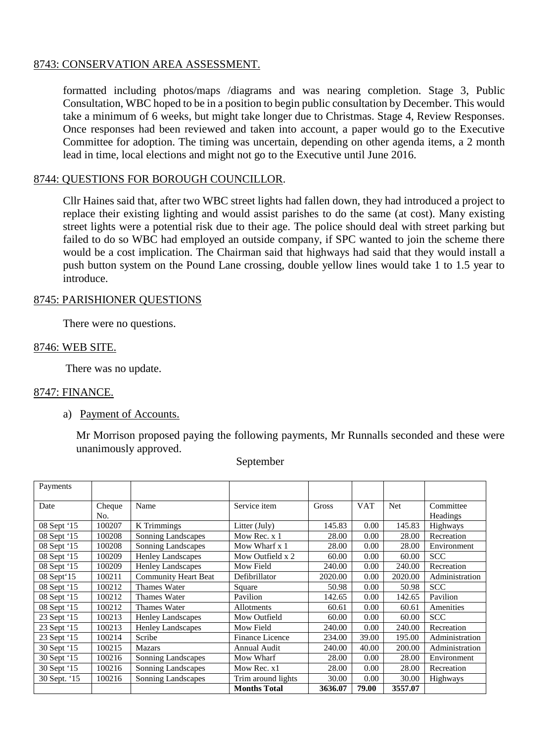### 8743: CONSERVATION AREA ASSESSMENT.

formatted including photos/maps /diagrams and was nearing completion. Stage 3, Public Consultation, WBC hoped to be in a position to begin public consultation by December. This would take a minimum of 6 weeks, but might take longer due to Christmas. Stage 4, Review Responses. Once responses had been reviewed and taken into account, a paper would go to the Executive Committee for adoption. The timing was uncertain, depending on other agenda items, a 2 month lead in time, local elections and might not go to the Executive until June 2016.

#### 8744: QUESTIONS FOR BOROUGH COUNCILLOR.

Cllr Haines said that, after two WBC street lights had fallen down, they had introduced a project to replace their existing lighting and would assist parishes to do the same (at cost). Many existing street lights were a potential risk due to their age. The police should deal with street parking but failed to do so WBC had employed an outside company, if SPC wanted to join the scheme there would be a cost implication. The Chairman said that highways had said that they would install a push button system on the Pound Lane crossing, double yellow lines would take 1 to 1.5 year to introduce.

#### 8745: PARISHIONER QUESTIONS

There were no questions.

#### 8746: WEB SITE.

There was no update.

#### 8747: FINANCE.

a) Payment of Accounts.

Mr Morrison proposed paying the following payments, Mr Runnalls seconded and these were unanimously approved.

| Payments     |        |                             |                        |         |            |            |                |
|--------------|--------|-----------------------------|------------------------|---------|------------|------------|----------------|
| Date         | Cheque | Name                        | Service item           | Gross   | <b>VAT</b> | <b>Net</b> | Committee      |
|              | No.    |                             |                        |         |            |            | Headings       |
| 08 Sept '15  | 100207 | K Trimmings                 | Litter (July)          | 145.83  | 0.00       | 145.83     | Highways       |
| 08 Sept '15  | 100208 | Sonning Landscapes          | Mow Rec. x 1           | 28.00   | 0.00       | 28.00      | Recreation     |
| 08 Sept '15  | 100208 | Sonning Landscapes          | Mow Wharf x 1          | 28.00   | 0.00       | 28.00      | Environment    |
| 08 Sept '15  | 100209 | Henley Landscapes           | Mow Outfield x 2       | 60.00   | 0.00       | 60.00      | <b>SCC</b>     |
| 08 Sept '15  | 100209 | <b>Henley Landscapes</b>    | Mow Field              | 240.00  | 0.00       | 240.00     | Recreation     |
| 08 Sept 15   | 100211 | <b>Community Heart Beat</b> | Defibrillator          | 2020.00 | 0.00       | 2020.00    | Administration |
| 08 Sept '15  | 100212 | Thames Water                | Square                 | 50.98   | 0.00       | 50.98      | <b>SCC</b>     |
| 08 Sept '15  | 100212 | Thames Water                | Pavilion               | 142.65  | 0.00       | 142.65     | Pavilion       |
| 08 Sept '15  | 100212 | <b>Thames Water</b>         | Allotments             | 60.61   | 0.00       | 60.61      | Amenities      |
| 23 Sept '15  | 100213 | <b>Henley Landscapes</b>    | Mow Outfield           | 60.00   | 0.00       | 60.00      | <b>SCC</b>     |
| 23 Sept '15  | 100213 | <b>Henley Landscapes</b>    | Mow Field              | 240.00  | 0.00       | 240.00     | Recreation     |
| 23 Sept '15  | 100214 | Scribe                      | <b>Finance Licence</b> | 234.00  | 39.00      | 195.00     | Administration |
| 30 Sept '15  | 100215 | Mazars                      | <b>Annual Audit</b>    | 240.00  | 40.00      | 200.00     | Administration |
| 30 Sept '15  | 100216 | Sonning Landscapes          | Mow Wharf              | 28.00   | 0.00       | 28.00      | Environment    |
| 30 Sept '15  | 100216 | Sonning Landscapes          | Mow Rec. x1            | 28.00   | 0.00       | 28.00      | Recreation     |
| 30 Sept. '15 | 100216 | Sonning Landscapes          | Trim around lights     | 30.00   | 0.00       | 30.00      | Highways       |
|              |        |                             | <b>Months Total</b>    | 3636.07 | 79.00      | 3557.07    |                |

September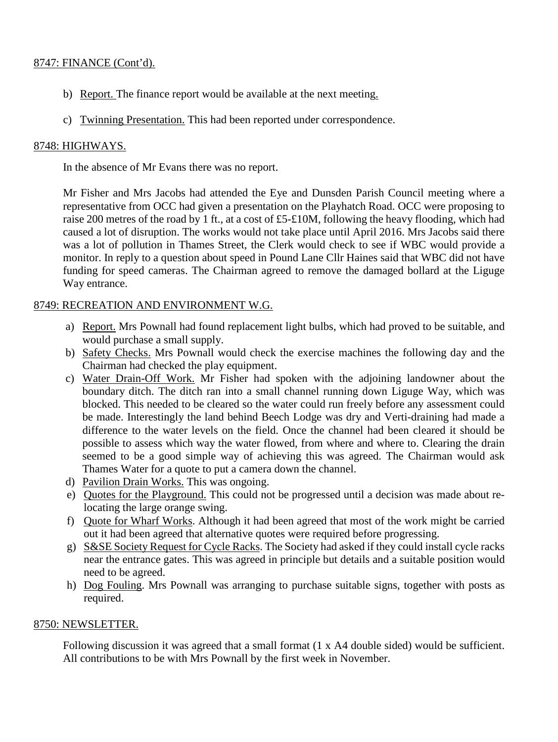## 8747: FINANCE (Cont'd).

- b) Report. The finance report would be available at the next meeting.
- c) Twinning Presentation. This had been reported under correspondence.

## 8748: HIGHWAYS.

In the absence of Mr Evans there was no report.

Mr Fisher and Mrs Jacobs had attended the Eye and Dunsden Parish Council meeting where a representative from OCC had given a presentation on the Playhatch Road. OCC were proposing to raise 200 metres of the road by 1 ft., at a cost of £5-£10M, following the heavy flooding, which had caused a lot of disruption. The works would not take place until April 2016. Mrs Jacobs said there was a lot of pollution in Thames Street, the Clerk would check to see if WBC would provide a monitor. In reply to a question about speed in Pound Lane Cllr Haines said that WBC did not have funding for speed cameras. The Chairman agreed to remove the damaged bollard at the Liguge Way entrance.

## 8749: RECREATION AND ENVIRONMENT W.G.

- a) Report. Mrs Pownall had found replacement light bulbs, which had proved to be suitable, and would purchase a small supply.
- b) Safety Checks. Mrs Pownall would check the exercise machines the following day and the Chairman had checked the play equipment.
- c) Water Drain-Off Work. Mr Fisher had spoken with the adjoining landowner about the boundary ditch. The ditch ran into a small channel running down Liguge Way, which was blocked. This needed to be cleared so the water could run freely before any assessment could be made. Interestingly the land behind Beech Lodge was dry and Verti-draining had made a difference to the water levels on the field. Once the channel had been cleared it should be possible to assess which way the water flowed, from where and where to. Clearing the drain seemed to be a good simple way of achieving this was agreed. The Chairman would ask Thames Water for a quote to put a camera down the channel.
- d) Pavilion Drain Works. This was ongoing.
- e) Quotes for the Playground. This could not be progressed until a decision was made about relocating the large orange swing.
- f) Quote for Wharf Works. Although it had been agreed that most of the work might be carried out it had been agreed that alternative quotes were required before progressing.
- g) S&SE Society Request for Cycle Racks. The Society had asked if they could install cycle racks near the entrance gates. This was agreed in principle but details and a suitable position would need to be agreed.
- h) Dog Fouling. Mrs Pownall was arranging to purchase suitable signs, together with posts as required.

### 8750: NEWSLETTER.

Following discussion it was agreed that a small format (1 x A4 double sided) would be sufficient. All contributions to be with Mrs Pownall by the first week in November.